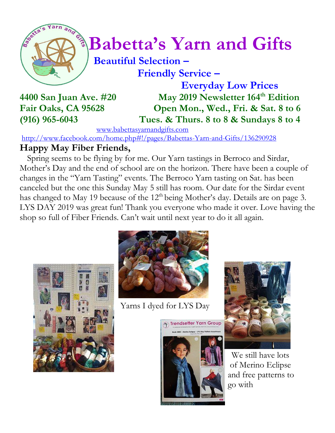

# $\int_{0}^{\frac{1}{2}} \sqrt{\frac{1}{2}} B^{2}$  Babetta's Yarn and Gifts

 **Beautiful Selection – Friendly Service –**

 **Everyday Low Prices 4400 San Juan Ave. #20 May 2019 Newsletter 164 th Edition Fair Oaks, CA 95628 Open Mon., Wed., Fri. & Sat. 8 to 6 (916) 965-6043 Tues. & Thurs. 8 to 8 & Sundays 8 to 4**

[www.babettasyarnandgifts.com](http://www.babettasyarnandgifts.com/)

<http://www.facebook.com/home.php#!/pages/Babettas-Yarn-and-Gifts/136290928>

#### **Happy May Fiber Friends,**

 Spring seems to be flying by for me. Our Yarn tastings in Berroco and Sirdar, Mother's Day and the end of school are on the horizon. There have been a couple of changes in the "Yarn Tasting" events. The Berroco Yarn tasting on Sat. has been canceled but the one this Sunday May 5 still has room. Our date for the Sirdar event has changed to May 19 because of the  $12<sup>th</sup>$  being Mother's day. Details are on page 3. LYS DAY 2019 was great fun! Thank you everyone who made it over. Love having the shop so full of Fiber Friends. Can't wait until next year to do it all again.





Yarns I dyed for LYS Day





We still have lots of Merino Eclipse and free patterns to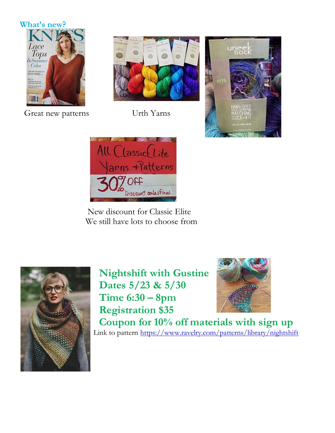



Great new patterns Urth Yarns







 New discount for Classic Elite We still have lots to choose from



**Nightshift with Gustine Dates 5/23 & 5/30 Time 6:30 – 8pm Registration \$35**



 **Coupon for 10% off materials with sign up** Link to pattern<https://www.ravelry.com/patterns/library/nightshift>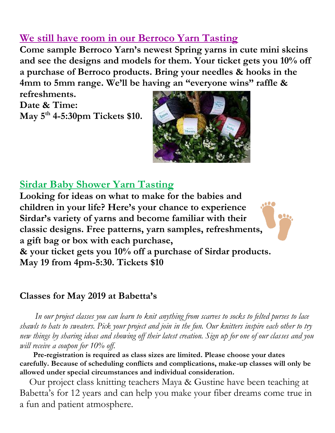### **We still have room in our Berroco Yarn Tasting**

**Come sample Berroco Yarn's newest Spring yarns in cute mini skeins and see the designs and models for them. Your ticket gets you 10% off a purchase of Berroco products. Bring your needles & hooks in the 4mm to 5mm range. We'll be having an "everyone wins" raffle &** 

**refreshments. Date & Time: May 5th 4-5:30pm Tickets \$10.**



<u>bo</u>

### **Sirdar Baby Shower Yarn Tasting**

**Looking for ideas on what to make for the babies and children in your life? Here's your chance to experience Sirdar's variety of yarns and become familiar with their classic designs. Free patterns, yarn samples, refreshments, a gift bag or box with each purchase,** 

**& your ticket gets you 10% off a purchase of Sirdar products. May 19 from 4pm-5:30. Tickets \$10** 

#### **Classes for May 2019 at Babetta's**

 *In our project classes you can learn to knit anything from scarves to socks to felted purses to lace shawls to hats to sweaters. Pick your project and join in the fun. Our knitters inspire each other to try new things by sharing ideas and showing off their latest creation. Sign up for one of our classes and you will receive a coupon for 10% off.*

 **Pre-registration is required as class sizes are limited. Please choose your dates carefully. Because of scheduling conflicts and complications, make-up classes will only be allowed under special circumstances and individual consideration.**

Our project class knitting teachers Maya & Gustine have been teaching at Babetta's for 12 years and can help you make your fiber dreams come true in a fun and patient atmosphere.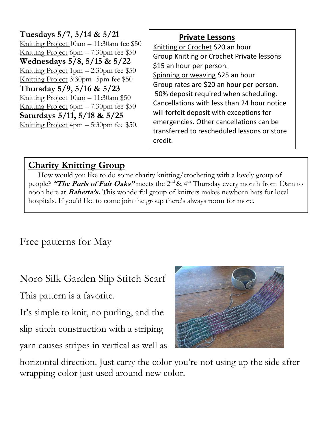**Tuesdays 5/7, 5/14 & 5/21** Knitting Project 10am – 11:30am fee \$50 Knitting Project 6pm – 7:30pm fee \$50 **Wednesdays 5/8, 5/15 & 5/22** Knitting Project 1pm – 2:30pm fee \$50 Knitting Project 3:30pm- 5pm fee \$50 **Thursday 5/9, 5/16 & 5/23** Knitting Project 10am – 11:30am \$50 Knitting Project 6pm – 7:30pm fee \$50 **Saturdays 5/11, 5/18 & 5/25** Knitting Project 4pm – 5:30pm fee \$50.

#### **Private Lessons**

Knitting or Crochet \$20 an hour Group Knitting or Crochet Private lessons \$15 an hour per person. Spinning or weaving \$25 an hour Group rates are \$20 an hour per person. 50% deposit required when scheduling. Cancellations with less than 24 hour notice will forfeit deposit with exceptions for emergencies. Other cancellations can be transferred to rescheduled lessons or store credit.

#### **Charity Knitting Group**

 How would you like to do some charity knitting/crocheting with a lovely group of people? **"The Purls of Fair Oaks"** meets the 2<sup>nd</sup> & 4<sup>th</sup> Thursday every month from 10am to noon here at **Babetta's.** This wonderful group of knitters makes newborn hats for local hospitals. If you'd like to come join the group there's always room for more.

Free patterns for May

Noro Silk Garden Slip Stitch Scarf

This pattern is a favorite.

It's simple to knit, no purling, and the slip stitch construction with a striping yarn causes stripes in vertical as well as



horizontal direction. Just carry the color you're not using up the side after wrapping color just used around new color.